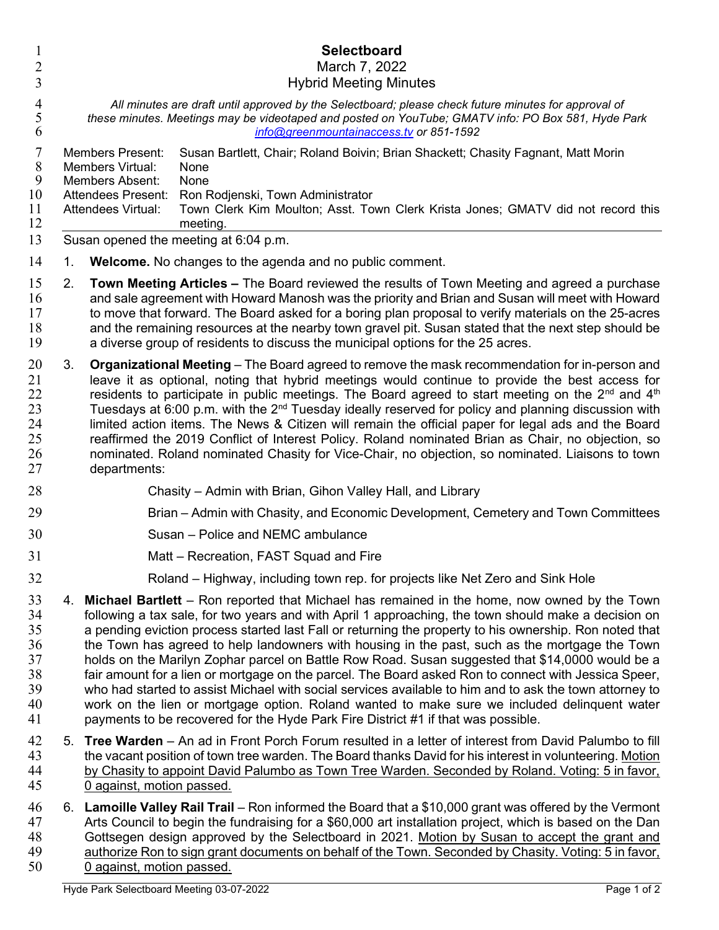| 1<br>$\overline{2}$<br>3                           |    | Selectboard<br>March 7, 2022<br><b>Hybrid Meeting Minutes</b>                                                                                                                                                                                                                                                                                                                                                                                                                                                                                                                                                                                                                                                                                                                                                                                                                                                                 |
|----------------------------------------------------|----|-------------------------------------------------------------------------------------------------------------------------------------------------------------------------------------------------------------------------------------------------------------------------------------------------------------------------------------------------------------------------------------------------------------------------------------------------------------------------------------------------------------------------------------------------------------------------------------------------------------------------------------------------------------------------------------------------------------------------------------------------------------------------------------------------------------------------------------------------------------------------------------------------------------------------------|
| $\overline{4}$<br>5<br>6                           |    | All minutes are draft until approved by the Selectboard; please check future minutes for approval of<br>these minutes. Meetings may be videotaped and posted on YouTube; GMATV info: PO Box 581, Hyde Park<br>info@greenmountainaccess.tv or 851-1592                                                                                                                                                                                                                                                                                                                                                                                                                                                                                                                                                                                                                                                                         |
| 7<br>$\,8\,$<br>9<br>10<br>11<br>12                |    | <b>Members Present:</b><br>Susan Bartlett, Chair; Roland Boivin; Brian Shackett; Chasity Fagnant, Matt Morin<br>Members Virtual:<br>None<br><b>Members Absent:</b><br>None<br><b>Attendees Present:</b><br>Ron Rodjenski, Town Administrator<br>Town Clerk Kim Moulton; Asst. Town Clerk Krista Jones; GMATV did not record this<br>Attendees Virtual:<br>meeting.                                                                                                                                                                                                                                                                                                                                                                                                                                                                                                                                                            |
| 13                                                 |    | Susan opened the meeting at 6:04 p.m.                                                                                                                                                                                                                                                                                                                                                                                                                                                                                                                                                                                                                                                                                                                                                                                                                                                                                         |
| 14                                                 | 1. | <b>Welcome.</b> No changes to the agenda and no public comment.                                                                                                                                                                                                                                                                                                                                                                                                                                                                                                                                                                                                                                                                                                                                                                                                                                                               |
| 15<br>16<br>17<br>18<br>19                         | 2. | <b>Town Meeting Articles –</b> The Board reviewed the results of Town Meeting and agreed a purchase<br>and sale agreement with Howard Manosh was the priority and Brian and Susan will meet with Howard<br>to move that forward. The Board asked for a boring plan proposal to verify materials on the 25-acres<br>and the remaining resources at the nearby town gravel pit. Susan stated that the next step should be<br>a diverse group of residents to discuss the municipal options for the 25 acres.                                                                                                                                                                                                                                                                                                                                                                                                                    |
| 20<br>21<br>22<br>23<br>24<br>25<br>26<br>27       | 3. | <b>Organizational Meeting</b> – The Board agreed to remove the mask recommendation for in-person and<br>leave it as optional, noting that hybrid meetings would continue to provide the best access for<br>residents to participate in public meetings. The Board agreed to start meeting on the $2^{nd}$ and $4^{th}$<br>Tuesdays at 6:00 p.m. with the 2 <sup>nd</sup> Tuesday ideally reserved for policy and planning discussion with<br>limited action items. The News & Citizen will remain the official paper for legal ads and the Board<br>reaffirmed the 2019 Conflict of Interest Policy. Roland nominated Brian as Chair, no objection, so<br>nominated. Roland nominated Chasity for Vice-Chair, no objection, so nominated. Liaisons to town<br>departments:                                                                                                                                                    |
| 28                                                 |    | Chasity – Admin with Brian, Gihon Valley Hall, and Library                                                                                                                                                                                                                                                                                                                                                                                                                                                                                                                                                                                                                                                                                                                                                                                                                                                                    |
| 29                                                 |    | Brian – Admin with Chasity, and Economic Development, Cemetery and Town Committees                                                                                                                                                                                                                                                                                                                                                                                                                                                                                                                                                                                                                                                                                                                                                                                                                                            |
| 30                                                 |    | Susan - Police and NEMC ambulance                                                                                                                                                                                                                                                                                                                                                                                                                                                                                                                                                                                                                                                                                                                                                                                                                                                                                             |
| 31                                                 |    | Matt – Recreation, FAST Squad and Fire                                                                                                                                                                                                                                                                                                                                                                                                                                                                                                                                                                                                                                                                                                                                                                                                                                                                                        |
| 32                                                 |    | Roland – Highway, including town rep. for projects like Net Zero and Sink Hole                                                                                                                                                                                                                                                                                                                                                                                                                                                                                                                                                                                                                                                                                                                                                                                                                                                |
| 33<br>34<br>35<br>36<br>37<br>38<br>39<br>40<br>41 | 4. | Michael Bartlett – Ron reported that Michael has remained in the home, now owned by the Town<br>following a tax sale, for two years and with April 1 approaching, the town should make a decision on<br>a pending eviction process started last Fall or returning the property to his ownership. Ron noted that<br>the Town has agreed to help landowners with housing in the past, such as the mortgage the Town<br>holds on the Marilyn Zophar parcel on Battle Row Road. Susan suggested that \$14,0000 would be a<br>fair amount for a lien or mortgage on the parcel. The Board asked Ron to connect with Jessica Speer,<br>who had started to assist Michael with social services available to him and to ask the town attorney to<br>work on the lien or mortgage option. Roland wanted to make sure we included delinguent water<br>payments to be recovered for the Hyde Park Fire District #1 if that was possible. |
| 42<br>43<br>44<br>45                               | 5. | Tree Warden - An ad in Front Porch Forum resulted in a letter of interest from David Palumbo to fill<br>the vacant position of town tree warden. The Board thanks David for his interest in volunteering. Motion<br>by Chasity to appoint David Palumbo as Town Tree Warden. Seconded by Roland. Voting: 5 in favor,<br>0 against, motion passed.                                                                                                                                                                                                                                                                                                                                                                                                                                                                                                                                                                             |
| 46<br>47                                           |    | 6. Lamoille Valley Rail Trail – Ron informed the Board that a \$10,000 grant was offered by the Vermont<br>Arts Council to begin the fundraising for a \$60,000 art installation project, which is based on the Dan                                                                                                                                                                                                                                                                                                                                                                                                                                                                                                                                                                                                                                                                                                           |

Arts Council to begin the fundraising for a \$60,000 art installation project, which is based on the Dan 48 Gottsegen design approved by the Selectboard in 2021. Motion by Susan to accept the grant and 49 authorize Ron to sign grant documents on behalf of the Town. Seconded by Chasity. Voting: 5 in favor, 0 against, motion passed.